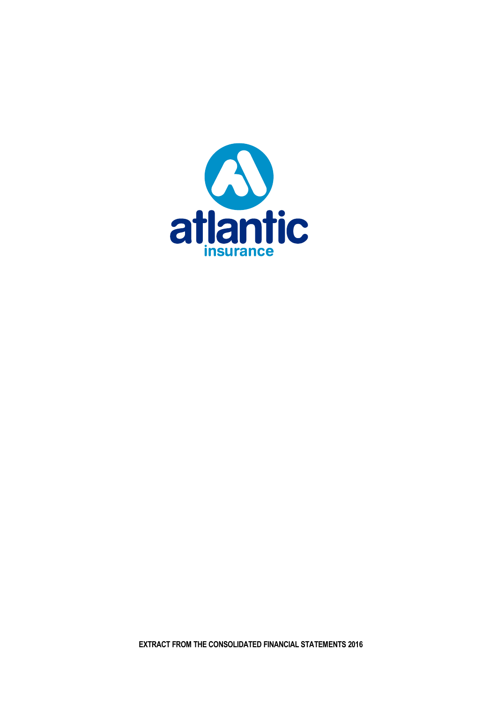

**EXTRACT FROM THE CONSOLIDATED FINANCIAL STATEMENTS 2016**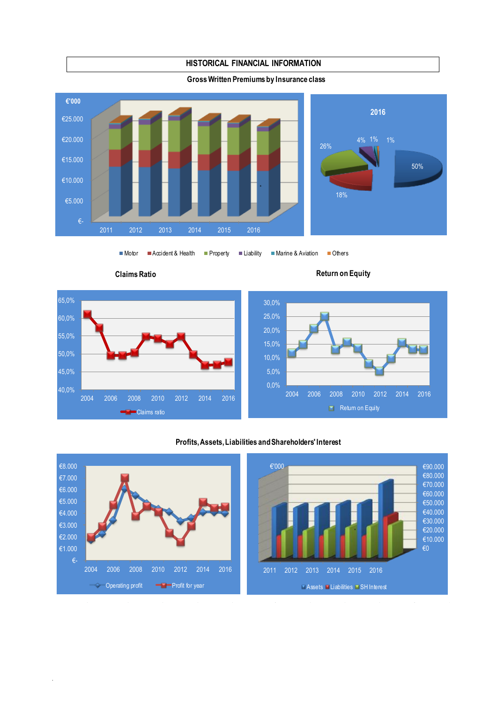

 $\blacksquare$ Motor  $\blacksquare$ Accident & Health  $\blacksquare$  Property  $\blacksquare$  Liability  $\blacksquare$  Marine & Aviation  $\blacksquare$  Others

.





# **Profits, Assets, Liabilities and Shareholders' Interest**

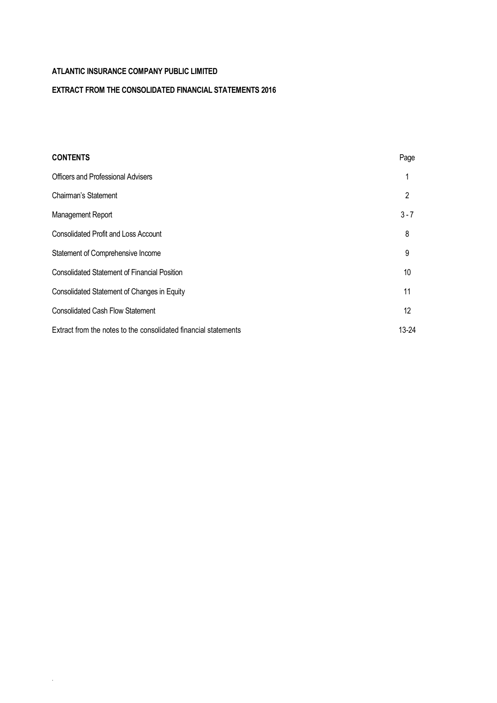.

# **EXTRACT FROM THE CONSOLIDATED FINANCIAL STATEMENTS 2016**

| <b>CONTENTS</b>                                                 | Page              |
|-----------------------------------------------------------------|-------------------|
| <b>Officers and Professional Advisers</b>                       |                   |
| Chairman's Statement                                            | 2                 |
| Management Report                                               | $3 - 7$           |
| <b>Consolidated Profit and Loss Account</b>                     | 8                 |
| Statement of Comprehensive Income                               | 9                 |
| <b>Consolidated Statement of Financial Position</b>             | 10                |
| Consolidated Statement of Changes in Equity                     | 11                |
| <b>Consolidated Cash Flow Statement</b>                         | $12 \overline{ }$ |
| Extract from the notes to the consolidated financial statements | 13-24             |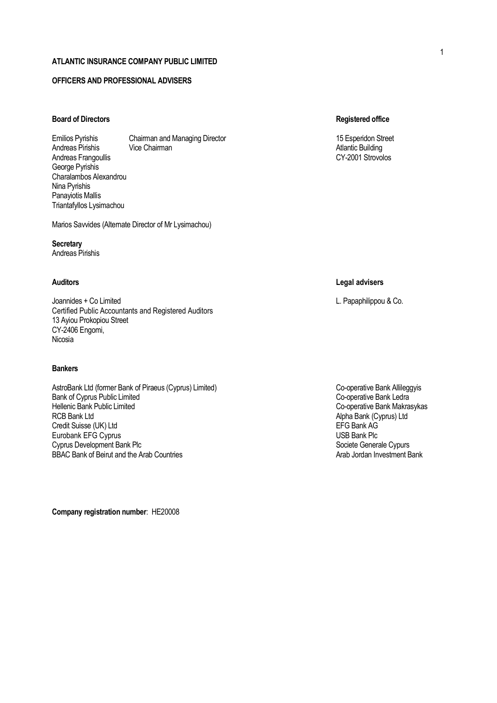### **OFFICERS AND PROFESSIONAL ADVISERS**

# **Board of Directors Registered office**

Emilios Pyrishis Chairman and Managing Director 15 Esperidon Street 15 Esperidon Street Andreas Pirishis Vice Chairman **Atlantic Building** Atlantic Building Andreas Frangoullis CY-2001 Strovolos George Pyrishis Charalambos Alexandrou Nina Pyrishis Panayiotis Mallis Triantafyllos Lysimachou

Marios Savvides (Alternate Director of Mr Lysimachou)

**Secretary** Andreas Pirishis

Joannides + Co Limited L. Papaphilippou & Co. Certified Public Accountants and Registered Auditors 13 Ayiou Prokopiou Street CY-2406 Engomi, Nicosia

### **Bankers**

AstroBank Ltd (former Bank of Piraeus (Cyprus) Limited) Co-operative Bank Allileggyis<br>Bank of Cyprus Public Limited Co-operative Bank Ledra Bank of Cyprus Public Limited<br>Hellenic Bank Public Limited Hellenic Bank Public Limited<br>
RCB Bank Ltd<br>
RCB Bank Ltd<br>
Co-operative Bank (Cyprus) Ltd Credit Suisse (UK) Ltd<br>
Eine Bank AG Europan Kerk Contract Contract Contract Contract Contract Contract Contract Contract Contract Contract Contract Contract Contract Contract Contract Contract Contract Contract Contract C Eurobank EFG Cyprus (2008) 2012 12:30 Eurobank EFG Cyprus USB Bank Plc<br>Cyprus Development Bank Plc Cyprus Development Bank Plc BBAC Bank of Beirut and the Arab Countries Arab Jordan Investment Bank

**Company registration number**: ΗΕ20008

### **Auditors Legal advisers**

Alpha Bank (Cyprus) Ltd<br>EFG Bank AG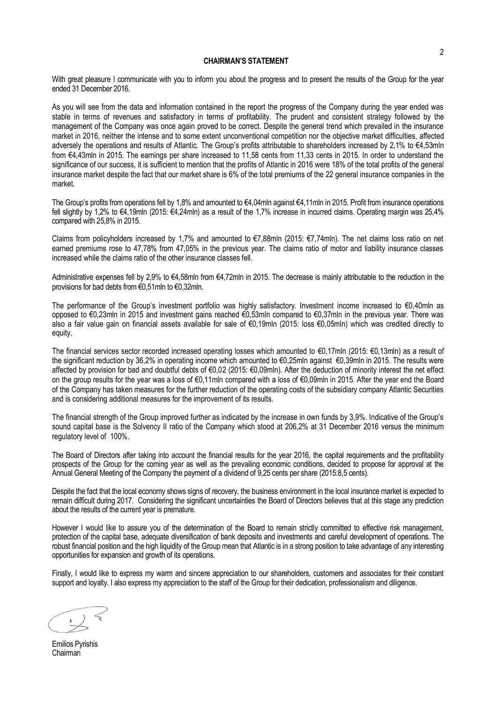### **CHAIRMAN'S STATEMENT**

With great pleasure I communicate with you to inform you about the progress and to present the results of the Group for the year ended 31 December 2016.

As you will see from the data and information contained in the report the progress of the Company during the year ended was stable in terms of revenues and satisfactory in terms of profitability. The prudent and consistent strategy followed by the management of the Company was once again proved to be correct. Despite the general trend which prevailed in the insurance market in 2016, neither the intense and to some extent unconventional competition nor the objective market difficulties, affected adversely the operations and results of Atlantic. The Group's profits attributable to shareholders increased by 2,1% to €4,53mln from €4,43mln in 2015. The earnings per share increased to 11,58 cents from 11,33 cents in 2015. In order to understand the significance of our success, it is sufficient to mention that the profits of Atlantic in 2016 were 18% of the total profits of the general insurance market despite the fact that our market share is 6% of the total premiums of the 22 general insurance companies in the market.

The Group's profits from operations fell by 1,8% and amounted to €4,04mln against €4,11mln in 2015. Profit from insurance operations fell slightly by 1,2% to €4,19mln (2015: €4,24mln) as a result of the 1,7% increase in incurred claims. Operating margin was 25,4% compared with 25,8% in 2015.

Claims from policyholders increased by 1,7% and amounted to €7,88mln (2015: €7,74mln). The net claims loss ratio on net earned premiums rose to 47,78% from 47,05% in the previous year. The claims ratio of motor and liability insurance classes increased while the claims ratio of the other insurance classes fell.

Administrative expenses fell by 2,9% to €4,58mln from €4,72mln in 2015. The decrease is mainly attributable to the reduction in the provisions for bad debts from €0,51mln to €0,32mln.

The performance of the Group's investment portfolio was highly satisfactory. Investment income increased to €0,40mln as opposed to €0,23mln in 2015 and investment gains reached €0,53mln compared to €0,37mln in the previous year. There was also a fair value gain on financial assets available for sale of €0,19mln (2015: loss €0,05mln) which was credited directly to equity.

The financial services sector recorded increased operating losses which amounted to €0,17mln (2015: €0,13mln) as a result of the significant reduction by 36,2% in operating income which amounted to €0,25mln against €0,39mln in 2015. The results were affected by provision for bad and doubtful debts of €0,02 (2015: €0,09mln). After the deduction of minority interest the net effect on the group results for the year was a loss of €0,11mln compared with a loss of €0,09mln in 2015. After the year end the Board of the Company has taken measures for the further reduction of the operating costs of the subsidiary company Atlantic Securities and is considering additional measures for the improvement of its results.

The financial strength of the Group improved further as indicated by the increase in own funds by 3,9%. Indicative of the Group's sound capital base is the Solvency II ratio of the Company which stood at 206,2% at 31 December 2016 versus the minimum regulatory level of 100%.

The Board of Directors after taking into account the financial results for the year 2016, the capital requirements and the profitability prospects of the Group for the coming year as well as the prevailing economic conditions, decided to propose for approval at the Annual General Meeting of the Company the payment of a dividend of 9,25 cents per share (2015:8,5 cents).

Despite the fact that the local economy shows signs of recovery, the business environment in the local insurance market is expected to remain difficult during 2017. Considering the significant uncertainties the Board of Directors believes that at this stage any prediction about the results of the current year is premature.

However I would like to assure you of the determination of the Board to remain strictly committed to effective risk management, protection of the capital base, adequate diversification of bank deposits and investments and careful development of operations. The robust financial position and the high liquidity of the Group mean that Atlantic is in a strong position to take advantage of any interesting opportunities for expansion and growth of its operations.

Finally, I would like to express my warm and sincere appreciation to our shareholders, customers and associates for their constant support and loyalty. I also express my appreciation to the staff of the Group for their dedication, professionalism and diligence.

Emilios Pyrishis Chairman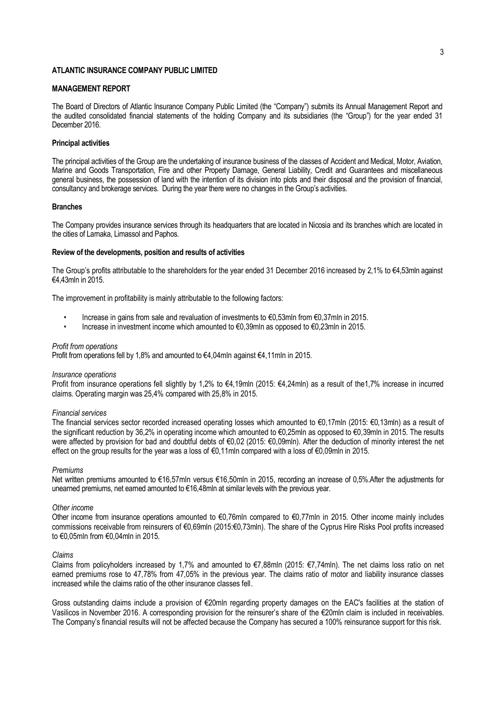### **MANAGEMENT REPORT**

The Board of Directors of Atlantic Insurance Company Public Limited (the "Company") submits its Annual Management Report and the audited consolidated financial statements of the holding Company and its subsidiaries (the "Group") for the year ended 31 December 2016.

### **Principal activities**

The principal activities of the Group are the undertaking of insurance business of the classes of Accident and Medical, Motor, Aviation, Marine and Goods Transportation, Fire and other Property Damage, General Liability, Credit and Guarantees and miscellaneous general business, the possession of land with the intention of its division into plots and their disposal and the provision of financial, consultancy and brokerage services. During the year there were no changes in the Group's activities.

### **Branches**

The Company provides insurance services through its headquarters that are located in Nicosia and its branches which are located in the cities of Larnaka, Limassol and Paphos.

#### **Review of the developments, position and results of activities**

The Group's profits attributable to the shareholders for the year ended 31 December 2016 increased by 2,1% to €4,53mln against €4,43mln in 2015.

The improvement in profitability is mainly attributable to the following factors:

- Increase in gains from sale and revaluation of investments to €0,53mln from €0,37mln in 2015.
- Increase in investment income which amounted to €0,39mln as opposed to €0,23mln in 2015.

#### *Profit from operations*

Profit from operations fell by 1,8% and amounted to €4,04mln against €4,11mln in 2015.

#### *Insurance operations*

Profit from insurance operations fell slightly by 1,2% to €4,19mln (2015: €4,24mln) as a result of the1,7% increase in incurred claims. Operating margin was 25,4% compared with 25,8% in 2015.

### *Financial services*

The financial services sector recorded increased operating losses which amounted to €0,17mln (2015: €0,13mln) as a result of the significant reduction by 36,2% in operating income which amounted to €0,25mln as opposed to €0,39mln in 2015. The results were affected by provision for bad and doubtful debts of €0,02 (2015: €0,09mln). After the deduction of minority interest the net effect on the group results for the year was a loss of €0,11mln compared with a loss of €0,09mln in 2015.

#### *Premiums*

Net written premiums amounted to €16,57mln versus €16,50mln in 2015, recording an increase of 0,5%.After the adjustments for unearned premiums, net earned amounted to €16,48mln at similar levels with the previous year.

#### *Other income*

Other income from insurance operations amounted to €0,76mln compared to €0,77mln in 2015. Other income mainly includes commissions receivable from reinsurers of €0,69mln (2015:€0,73mln). The share of the Cyprus Hire Risks Pool profits increased to €0,05mln from €0,04mln in 2015.

#### *Claims*

Claims from policyholders increased by 1,7% and amounted to €7,88mln (2015: €7,74mln). The net claims loss ratio on net earned premiums rose to 47,78% from 47,05% in the previous year. The claims ratio of motor and liability insurance classes increased while the claims ratio of the other insurance classes fell.

Gross outstanding claims include a provision of €20mln regarding property damages on the EAC's facilities at the station of Vasilicos in November 2016. A corresponding provision for the reinsurer's share of the €20mln claim is included in receivables. The Company's financial results will not be affected because the Company has secured a 100% reinsurance support for this risk.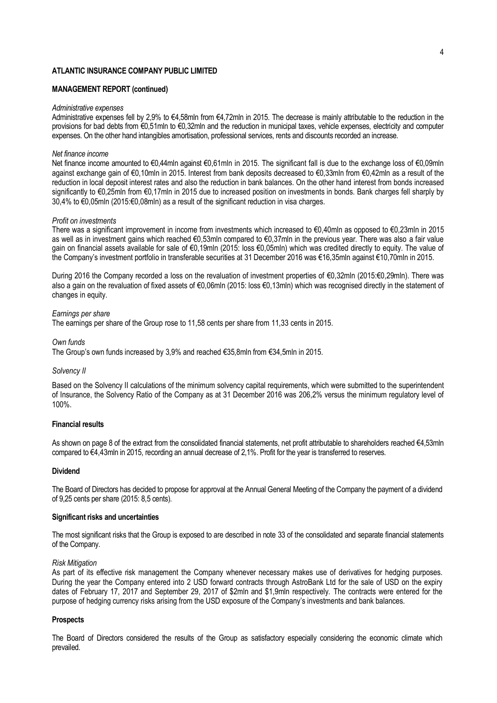### **MANAGEMENT REPORT (continued)**

#### *Administrative expenses*

Administrative expenses fell by 2,9% to €4,58mln from €4,72mln in 2015. The decrease is mainly attributable to the reduction in the provisions for bad debts from €0,51mln to €0,32mln and the reduction in municipal taxes, vehicle expenses, electricity and computer expenses. On the other hand intangibles amortisation, professional services, rents and discounts recorded an increase.

## *Net finance income*

Net finance income amounted to €0,44mln against €0,61mln in 2015. The significant fall is due to the exchange loss of €0,09mln against exchange gain of €0,10mln in 2015. Interest from bank deposits decreased to €0,33mln from €0,42mln as a result of the reduction in local deposit interest rates and also the reduction in bank balances. On the other hand interest from bonds increased significantly to €0,25mln from €0,17mln in 2015 due to increased position on investments in bonds. Bank charges fell sharply by 30,4% to €0,05mln (2015:€0,08mln) as a result of the significant reduction in visa charges.

#### *Profit on investments*

There was a significant improvement in income from investments which increased to €0,40mln as opposed to €0,23mln in 2015 as well as in investment gains which reached €0,53mln compared to €0,37mln in the previous year. There was also a fair value gain on financial assets available for sale of €0,19mln (2015: loss €0,05mln) which was credited directly to equity. The value of the Company's investment portfolio in transferable securities at 31 December 2016 was €16,35mln against €10,70mln in 2015.

During 2016 the Company recorded a loss on the revaluation of investment properties of €0,32mln (2015:€0,29mln). There was also a gain on the revaluation of fixed assets of €0,06mln (2015: loss €0,13mln) which was recognised directly in the statement of changes in equity.

### *Earnings per share*

The earnings per share of the Group rose to 11,58 cents per share from 11,33 cents in 2015.

#### *Own funds*

The Group's own funds increased by 3,9% and reached €35,8mln from €34,5mln in 2015.

### *Solvency II*

Based on the Solvency II calculations of the minimum solvency capital requirements, which were submitted to the superintendent of Insurance, the Solvency Ratio of the Company as at 31 December 2016 was 206,2% versus the minimum regulatory level of 100%.

### **Financial results**

As shown on page 8 of the extract from the consolidated financial statements, net profit attributable to shareholders reached €4,53mln compared to €4,43mln in 2015, recording an annual decrease of 2,1%. Profit for the year is transferred to reserves.

### **Dividend**

The Board of Directors has decided to propose for approval at the Annual General Meeting of the Company the payment of a dividend of 9,25 cents per share (2015: 8,5 cents).

### **Significant risks and uncertainties**

The most significant risks that the Group is exposed to are described in note 33 of the consolidated and separate financial statements of the Company.

### *Risk Mitigation*

As part of its effective risk management the Company whenever necessary makes use of derivatives for hedging purposes. During the year the Company entered into 2 USD forward contracts through AstroBank Ltd for the sale of USD on the expiry dates of February 17, 2017 and September 29, 2017 of \$2mln and \$1,9mln respectively. The contracts were entered for the purpose of hedging currency risks arising from the USD exposure of the Company's investments and bank balances.

#### **Prospects**

The Board of Directors considered the results of the Group as satisfactory especially considering the economic climate which prevailed.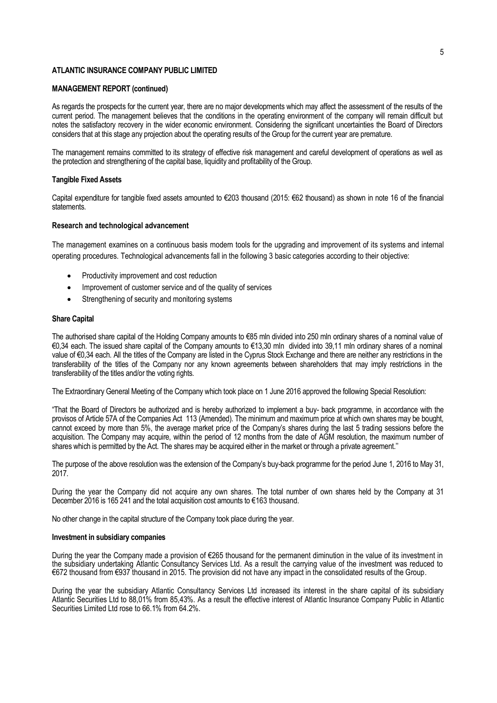### **MANAGEMENT REPORT (continued)**

As regards the prospects for the current year, there are no major developments which may affect the assessment of the results of the current period. The management believes that the conditions in the operating environment of the company will remain difficult but notes the satisfactory recovery in the wider economic environment. Considering the significant uncertainties the Board of Directors considers that at this stage any projection about the operating results of the Group for the current year are premature.

The management remains committed to its strategy of effective risk management and careful development of operations as well as the protection and strengthening of the capital base, liquidity and profitability of the Group.

#### **Tangible Fixed Assets**

Capital expenditure for tangible fixed assets amounted to €203 thousand (2015: €62 thousand) as shown in note 16 of the financial statements.

### **Research and technological advancement**

The management examines on a continuous basis modern tools for the upgrading and improvement of its systems and internal operating procedures. Technological advancements fall in the following 3 basic categories according to their objective:

- Productivity improvement and cost reduction
- Improvement of customer service and of the quality of services
- Strengthening of security and monitoring systems

#### **Share Capital**

The authorised share capital of the Holding Company amounts to €85 mln divided into 250 mln ordinary shares of a nominal value of €0,34 each. The issued share capital of the Company amounts to €13,30 mln divided into 39,11 mln ordinary shares of a nominal value of €0,34 each. All the titles of the Company are listed in the Cyprus Stock Exchange and there are neither any restrictions in the transferability of the titles of the Company nor any known agreements between shareholders that may imply restrictions in the transferability of the titles and/or the voting rights.

The Extraordinary General Meeting of the Company which took place on 1 June 2016 approved the following Special Resolution:

"That the Board of Directors be authorized and is hereby authorized to implement a buy- back programme, in accordance with the provisos of Article 57A of the Companies Act 113 (Amended). The minimum and maximum price at which own shares may be bought, cannot exceed by more than 5%, the average market price of the Company's shares during the last 5 trading sessions before the acquisition. The Company may acquire, within the period of 12 months from the date of AGM resolution, the maximum number of shares which is permitted by the Act. The shares may be acquired either in the market or through a private agreement.''

The purpose of the above resolution was the extension of the Company's buy-back programme for the period June 1, 2016 to May 31, 2017.

During the year the Company did not acquire any own shares. The total number of own shares held by the Company at 31 December 2016 is 165 241 and the total acquisition cost amounts to €163 thousand.

No other change in the capital structure of the Company took place during the year.

#### **Investment in subsidiary companies**

During the year the Company made a provision of €265 thousand for the permanent diminution in the value of its investment in the subsidiary undertaking Atlantic Consultancy Services Ltd. As a result the carrying value of the investment was reduced to €672 thousand from €937 thousand in 2015. The provision did not have any impact in the consolidated results of the Group.

During the year the subsidiary Atlantic Consultancy Services Ltd increased its interest in the share capital of its subsidiary Atlantic Securities Ltd to 88,01% from 85,43%. As a result the effective interest of Atlantic Insurance Company Public in Atlantic Securities Limited Ltd rose to 66.1% from 64.2%.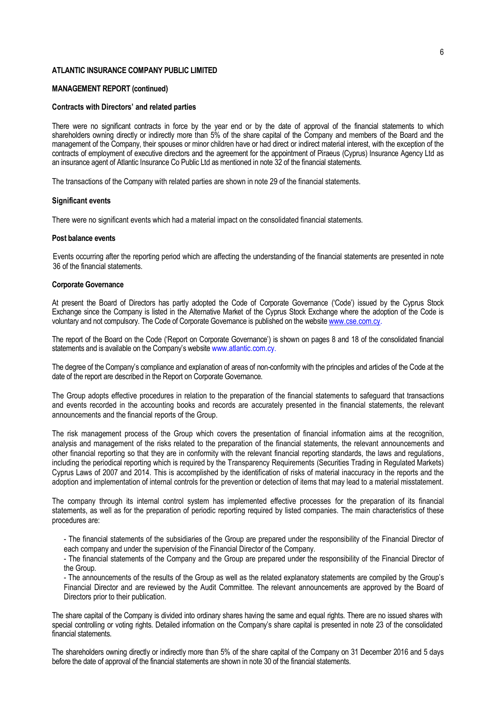### **MANAGEMENT REPORT (continued)**

#### **Contracts with Directors' and related parties**

There were no significant contracts in force by the year end or by the date of approval of the financial statements to which shareholders owning directly or indirectly more than 5% of the share capital of the Company and members of the Board and the management of the Company, their spouses or minor children have or had direct or indirect material interest, with the exception of the contracts of employment of executive directors and the agreement for the appointment of Piraeus (Cyprus) Insurance Agency Ltd as an insurance agent of Atlantic Insurance Co Public Ltd as mentioned in note 32 of the financial statements.

The transactions of the Company with related parties are shown in note 29 of the financial statements.

### **Significant events**

There were no significant events which had a material impact on the consolidated financial statements.

#### **Post balance events**

Events occurring after the reporting period which are affecting the understanding of the financial statements are presented in note 36 of the financial statements.

#### **Corporate Governance**

At present the Board of Directors has partly adopted the Code of Corporate Governance ('Code') issued by the Cyprus Stock Exchange since the Company is listed in the Alternative Market of the Cyprus Stock Exchange where the adoption of the Code is voluntary and not compulsory. The Code of Corporate Governance is published on the websit[e www.cse.com.cy.](http://www.cse.com.cy/)

The report of the Board on the Code ('Report on Corporate Governance') is shown on pages 8 and 18 of the consolidated financial statements and is available on the Company's website www.atlantic.com.cy.

The degree of the Company's compliance and explanation of areas of non-conformity with the principles and articles of the Code at the date of the report are described in the Report on Corporate Governance.

The Group adopts effective procedures in relation to the preparation of the financial statements to safeguard that transactions and events recorded in the accounting books and records are accurately presented in the financial statements, the relevant announcements and the financial reports of the Group.

The risk management process of the Group which covers the presentation of financial information aims at the recognition, analysis and management of the risks related to the preparation of the financial statements, the relevant announcements and other financial reporting so that they are in conformity with the relevant financial reporting standards, the laws and regulations, including the periodical reporting which is required by the Transparency Requirements (Securities Trading in Regulated Markets) Cyprus Laws of 2007 and 2014. This is accomplished by the identification of risks of material inaccuracy in the reports and the adoption and implementation of internal controls for the prevention or detection of items that may lead to a material misstatement.

The company through its internal control system has implemented effective processes for the preparation of its financial statements, as well as for the preparation of periodic reporting required by listed companies. The main characteristics of these procedures are:

- The financial statements of the subsidiaries of the Group are prepared under the responsibility of the Financial Director of each company and under the supervision of the Financial Director of the Company.

- The financial statements of the Company and the Group are prepared under the responsibility of the Financial Director of the Group.

- The announcements of the results of the Group as well as the related explanatory statements are compiled by the Group's Financial Director and are reviewed by the Audit Committee. The relevant announcements are approved by the Board of Directors prior to their publication.

The share capital of the Company is divided into ordinary shares having the same and equal rights. There are no issued shares with special controlling or voting rights. Detailed information on the Company's share capital is presented in note 23 of the consolidated financial statements.

The shareholders owning directly or indirectly more than 5% of the share capital of the Company on 31 December 2016 and 5 days before the date of approval of the financial statements are shown in note 30 of the financial statements.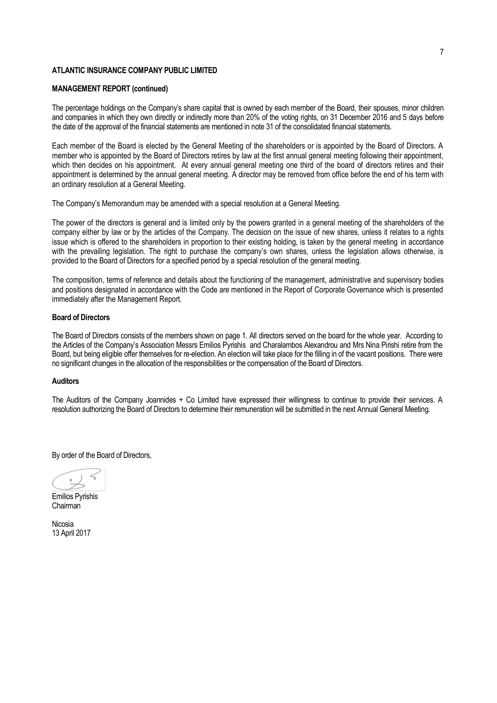### **MANAGEMENT REPORT (continued)**

The percentage holdings on the Company's share capital that is owned by each member of the Board, their spouses, minor children and companies in which they own directly or indirectly more than 20% of the voting rights, on 31 December 2016 and 5 days before the date of the approval of the financial statements are mentioned in note 31 of the consolidated financial statements.

Each member of the Board is elected by the General Meeting of the shareholders or is appointed by the Board of Directors. A member who is appointed by the Board of Directors retires by law at the first annual general meeting following their appointment, which then decides on his appointment. At every annual general meeting one third of the board of directors retires and their appointment is determined by the annual general meeting. A director may be removed from office before the end of his term with an ordinary resolution at a General Meeting.

The Company's Memorandum may be amended with a special resolution at a General Meeting.

The power of the directors is general and is limited only by the powers granted in a general meeting of the shareholders of the company either by law or by the articles of the Company. The decision on the issue of new shares, unless it relates to a rights issue which is offered to the shareholders in proportion to their existing holding, is taken by the general meeting in accordance with the prevailing legislation. The right to purchase the company's own shares, unless the legislation allows otherwise, is provided to the Board of Directors for a specified period by a special resolution of the general meeting.

The composition, terms of reference and details about the functioning of the management, administrative and supervisory bodies and positions designated in accordance with the Code are mentioned in the Report of Corporate Governance which is presented immediately after the Management Report.

### **Board of Directors**

The Board of Directors consists of the members shown on page 1. All directors served on the board for the whole year. According to the Articles of the Company's Association Messrs Emilios Pyrishis and Charalambos Alexandrou and Mrs Nina Pirishi retire from the Board, but being eligible offer themselves for re-election. An election will take place for the filling in of the vacant positions. There were no significant changes in the allocation of the responsibilities or the compensation of the Board of Directors.

### **Auditors**

The Auditors of the Company Joannides + Co Limited have expressed their willingness to continue to provide their services. A resolution authorizing the Board of Directors to determine their remuneration will be submitted in the next Annual General Meeting.

By order of the Board of Directors,

Emilios Pyrishis Chairman

Nicosia 13 April 2017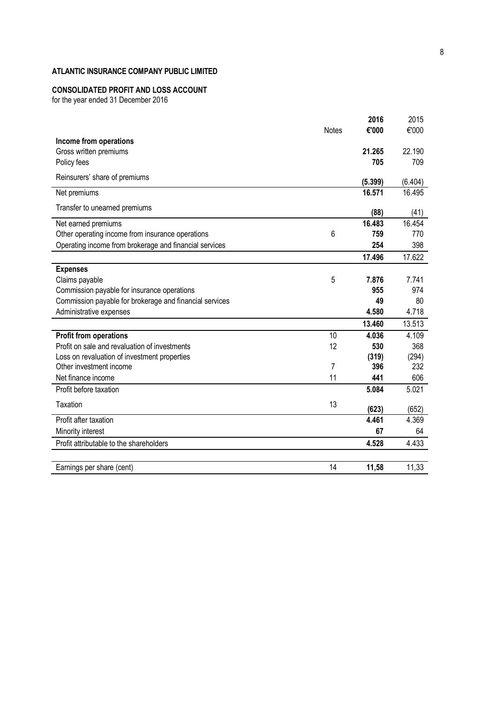### **CONSOLIDATED PROFIT AND LOSS ACCOUNT**

for the year ended 31 December 2016

|                                                         |              | 2016    | 2015    |
|---------------------------------------------------------|--------------|---------|---------|
|                                                         | <b>Notes</b> | €'000   | €'000   |
| Income from operations                                  |              |         |         |
| Gross written premiums                                  |              | 21.265  | 22.190  |
| Policy fees                                             |              | 705     | 709     |
| Reinsurers' share of premiums                           |              | (5.399) | (6.404) |
| Net premiums                                            |              | 16.571  | 16.495  |
| Transfer to unearned premiums                           |              | (88)    | (41)    |
| Net earned premiums                                     |              | 16.483  | 16.454  |
| Other operating income from insurance operations        | 6            | 759     | 770     |
| Operating income from brokerage and financial services  |              | 254     | 398     |
|                                                         |              | 17.496  | 17.622  |
| <b>Expenses</b>                                         |              |         |         |
| Claims payable                                          | 5            | 7.876   | 7.741   |
| Commission payable for insurance operations             |              | 955     | 974     |
| Commission payable for brokerage and financial services |              | 49      | 80      |
| Administrative expenses                                 |              | 4.580   | 4.718   |
|                                                         |              | 13.460  | 13.513  |
| <b>Profit from operations</b>                           | 10           | 4.036   | 4.109   |
| Profit on sale and revaluation of investments           | 12           | 530     | 368     |
| Loss on revaluation of investment properties            |              | (319)   | (294)   |
| Other investment income                                 | 7            | 396     | 232     |
| Net finance income                                      | 11           | 441     | 606     |
| Profit before taxation                                  |              | 5.084   | 5.021   |
| <b>Taxation</b>                                         | 13           | (623)   | (652)   |
| Profit after taxation                                   |              | 4.461   | 4.369   |
| Minority interest                                       |              | 67      | 64      |
| Profit attributable to the shareholders                 |              | 4.528   | 4.433   |
|                                                         |              |         |         |
| Earnings per share (cent)                               | 14           | 11,58   | 11,33   |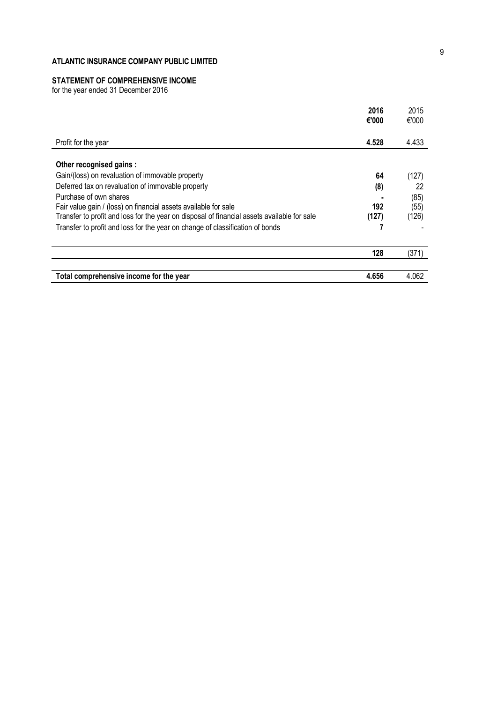# **STATEMENT OF COMPREHENSIVE INCOME**

for the year ended 31 December 2016

|                                                                                             | 2016<br>€'000 | 2015<br>€'000 |
|---------------------------------------------------------------------------------------------|---------------|---------------|
| Profit for the year                                                                         | 4.528         | 4.433         |
| Other recognised gains:                                                                     |               |               |
| Gain/(loss) on revaluation of immovable property                                            | 64            | (127)         |
| Deferred tax on revaluation of immovable property                                           | (8)           | 22            |
| Purchase of own shares                                                                      |               | (85)          |
| Fair value gain / (loss) on financial assets available for sale                             | 192           | (55)          |
| Transfer to profit and loss for the year on disposal of financial assets available for sale | (127)         | (126)         |
| Transfer to profit and loss for the year on change of classification of bonds               |               |               |
|                                                                                             | 128           | (371)         |
|                                                                                             |               |               |
| Total comprehensive income for the year                                                     | 4.656         | 4.062         |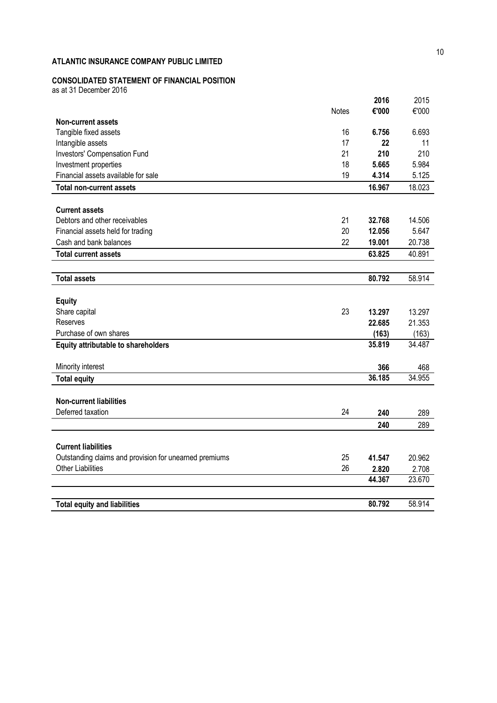# **CONSOLIDATED STATEMENT OF FINANCIAL POSITION**

as at 31 December 2016

|                                                        |              | 2016   | 2015   |
|--------------------------------------------------------|--------------|--------|--------|
|                                                        | <b>Notes</b> | €'000  | €'000  |
| <b>Non-current assets</b>                              |              |        |        |
| Tangible fixed assets                                  | 16           | 6.756  | 6.693  |
| Intangible assets                                      | 17           | 22     | 11     |
| Investors' Compensation Fund                           | 21           | 210    | 210    |
| Investment properties                                  | 18           | 5.665  | 5.984  |
| Financial assets available for sale                    | 19           | 4.314  | 5.125  |
| <b>Total non-current assets</b>                        |              | 16.967 | 18.023 |
|                                                        |              |        |        |
| <b>Current assets</b>                                  |              |        |        |
| Debtors and other receivables                          | 21           | 32.768 | 14.506 |
| Financial assets held for trading                      | 20           | 12.056 | 5.647  |
| Cash and bank balances                                 | 22           | 19.001 | 20.738 |
| <b>Total current assets</b>                            |              | 63.825 | 40.891 |
|                                                        |              |        |        |
| <b>Total assets</b>                                    |              | 80.792 | 58.914 |
|                                                        |              |        |        |
| <b>Equity</b>                                          |              |        |        |
| Share capital                                          | 23           | 13.297 | 13.297 |
| <b>Reserves</b>                                        |              | 22.685 | 21.353 |
| Purchase of own shares                                 |              | (163)  | (163)  |
| <b>Equity attributable to shareholders</b>             |              | 35.819 | 34.487 |
| Minority interest                                      |              | 366    | 468    |
| <b>Total equity</b>                                    |              | 36.185 | 34.955 |
|                                                        |              |        |        |
| <b>Non-current liabilities</b>                         |              |        |        |
| Deferred taxation                                      | 24           | 240    | 289    |
|                                                        |              | 240    | 289    |
|                                                        |              |        |        |
| <b>Current liabilities</b>                             |              |        |        |
| Outstanding claims and provision for unearned premiums | 25           | 41.547 | 20.962 |
| <b>Other Liabilities</b>                               | 26           | 2.820  | 2.708  |
|                                                        |              | 44.367 | 23.670 |
|                                                        |              |        |        |
| <b>Total equity and liabilities</b>                    |              | 80.792 | 58.914 |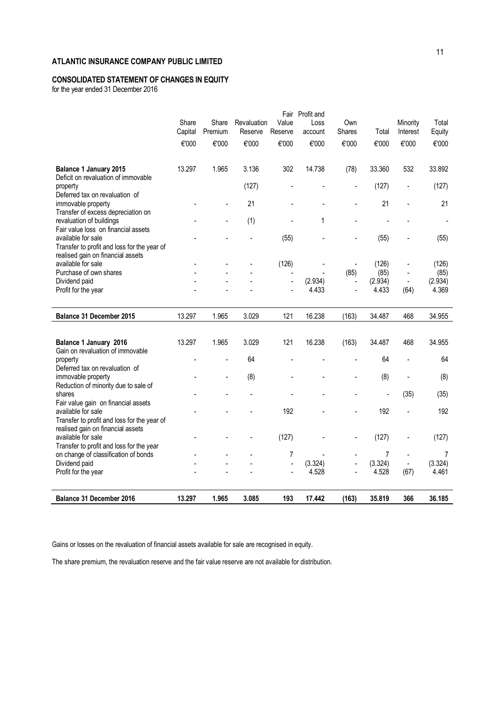# **CONSOLIDATED STATEMENT OF CHANGES IN EQUITY**

for the year ended 31 December 2016

|                                                            | Share   | Share   | Revaluation | Value          | Fair Profit and<br>Loss | Own            |                | Minority                 | Total          |
|------------------------------------------------------------|---------|---------|-------------|----------------|-------------------------|----------------|----------------|--------------------------|----------------|
|                                                            | Capital | Premium | Reserve     | Reserve        | account                 | Shares         | Total          | Interest                 | Equity         |
|                                                            | €'000   | €'000   | €'000       | €'000          | €'000                   | €'000          | €'000          | €'000                    | €'000          |
|                                                            |         |         |             |                |                         |                |                |                          |                |
| <b>Balance 1 January 2015</b>                              | 13.297  | 1.965   | 3.136       | 302            | 14.738                  | (78)           | 33.360         | 532                      | 33.892         |
| Deficit on revaluation of immovable                        |         |         |             |                |                         |                |                |                          |                |
| property                                                   |         |         | (127)       |                |                         | $\overline{a}$ | (127)          | $\overline{\phantom{a}}$ | (127)          |
| Deferred tax on revaluation of<br>immovable property       |         |         | 21          |                |                         |                | 21             |                          | 21             |
| Transfer of excess depreciation on                         |         |         |             |                |                         |                |                |                          |                |
| revaluation of buildings                                   |         |         | (1)         |                | 1                       |                |                |                          | $\overline{a}$ |
| Fair value loss on financial assets                        |         |         |             |                |                         |                |                |                          |                |
| available for sale                                         |         |         |             | (55)           |                         |                | (55)           |                          | (55)           |
| Transfer to profit and loss for the year of                |         |         |             |                |                         |                |                |                          |                |
| realised gain on financial assets<br>available for sale    |         |         |             | (126)          |                         |                | (126)          | $\overline{\phantom{a}}$ | (126)          |
| Purchase of own shares                                     |         |         |             |                |                         | (85)           | (85)           |                          | (85)           |
| Dividend paid                                              |         |         |             |                | (2.934)                 | $\overline{a}$ | (2.934)        | $\overline{\phantom{a}}$ | (2.934)        |
| Profit for the year                                        |         |         |             |                | 4.433                   |                | 4.433          | (64)                     | 4.369          |
|                                                            |         |         |             |                |                         |                |                |                          |                |
|                                                            |         |         |             |                |                         |                |                |                          |                |
| Balance 31 December 2015                                   | 13.297  | 1.965   | 3.029       | 121            | 16.238                  | (163)          | 34.487         | 468                      | 34.955         |
|                                                            |         |         |             |                |                         |                |                |                          |                |
|                                                            |         |         |             |                |                         |                |                |                          |                |
| Balance 1 January 2016<br>Gain on revaluation of immovable | 13.297  | 1.965   | 3.029       | 121            | 16.238                  | (163)          | 34.487         | 468                      | 34.955         |
| property                                                   |         |         | 64          |                |                         |                | 64             | $\overline{a}$           | 64             |
| Deferred tax on revaluation of                             |         |         |             |                |                         |                |                |                          |                |
| immovable property                                         |         |         | (8)         |                |                         |                | (8)            | $\overline{\phantom{a}}$ | (8)            |
| Reduction of minority due to sale of                       |         |         |             |                |                         |                | Ĭ.             |                          |                |
| shares                                                     |         |         |             |                |                         |                |                | (35)                     | (35)           |
| Fair value gain on financial assets<br>available for sale  |         |         |             | 192            |                         |                | 192            |                          | 192            |
| Transfer to profit and loss for the year of                |         |         |             |                |                         |                |                |                          |                |
| realised gain on financial assets                          |         |         |             |                |                         |                |                |                          |                |
| available for sale                                         |         |         |             | (127)          |                         |                | (127)          |                          | (127)          |
| Transfer to profit and loss for the year                   |         |         |             | 7              |                         |                | $\overline{7}$ |                          | 7              |
| on change of classification of bonds<br>Dividend paid      |         |         |             | $\overline{a}$ | (3.324)                 |                | (3.324)        | $\overline{\phantom{a}}$ | (3.324)        |
| Profit for the year                                        |         |         |             |                | 4.528                   |                | 4.528          | (67)                     | 4.461          |
|                                                            |         |         |             |                |                         |                |                |                          |                |

Gains or losses on the revaluation of financial assets available for sale are recognised in equity.

The share premium, the revaluation reserve and the fair value reserve are not available for distribution.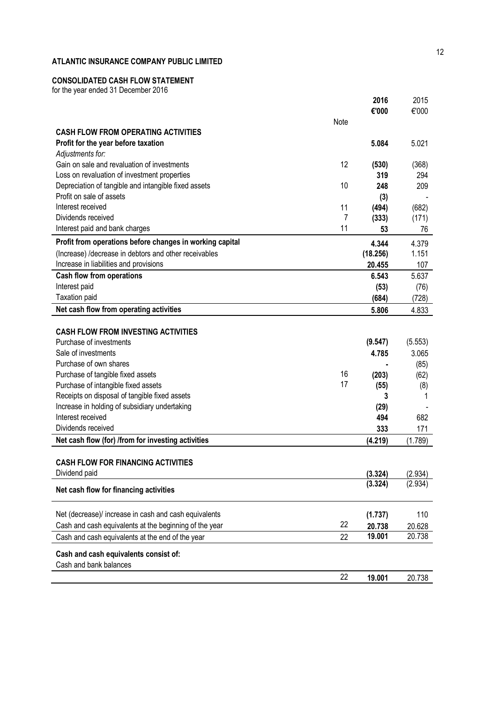# **CONSOLIDATED CASH FLOW STATEMENT**

for the year ended 31 December 2016

|                                                          |         | 2016     | 2015    |
|----------------------------------------------------------|---------|----------|---------|
|                                                          |         | €'000    | €'000   |
|                                                          | Note    |          |         |
| <b>CASH FLOW FROM OPERATING ACTIVITIES</b>               |         |          |         |
| Profit for the year before taxation                      |         | 5.084    | 5.021   |
| Adjustments for:                                         |         |          |         |
| Gain on sale and revaluation of investments              | 12      | (530)    | (368)   |
| Loss on revaluation of investment properties             |         | 319      | 294     |
| Depreciation of tangible and intangible fixed assets     | 10      | 248      | 209     |
| Profit on sale of assets                                 |         | (3)      |         |
| Interest received<br>Dividends received                  | 11<br>7 | (494)    | (682)   |
|                                                          | 11      | (333)    | (171)   |
| Interest paid and bank charges                           |         | 53       | 76      |
| Profit from operations before changes in working capital |         | 4.344    | 4.379   |
| (Increase) /decrease in debtors and other receivables    |         | (18.256) | 1.151   |
| Increase in liabilities and provisions                   |         | 20.455   | 107     |
| <b>Cash flow from operations</b>                         |         | 6.543    | 5.637   |
| Interest paid                                            |         | (53)     | (76)    |
| Taxation paid                                            |         | (684)    | (728)   |
| Net cash flow from operating activities                  |         | 5.806    | 4.833   |
|                                                          |         |          |         |
| <b>CASH FLOW FROM INVESTING ACTIVITIES</b>               |         |          |         |
| Purchase of investments                                  |         | (9.547)  | (5.553) |
| Sale of investments                                      |         | 4.785    | 3.065   |
| Purchase of own shares                                   |         |          | (85)    |
| Purchase of tangible fixed assets                        | 16      | (203)    | (62)    |
| Purchase of intangible fixed assets                      | 17      | (55)     | (8)     |
| Receipts on disposal of tangible fixed assets            |         | 3        | 1       |
| Increase in holding of subsidiary undertaking            |         | (29)     |         |
| Interest received                                        |         | 494      | 682     |
| Dividends received                                       |         | 333      | 171     |
| Net cash flow (for) /from for investing activities       |         | (4.219)  | (1.789) |
|                                                          |         |          |         |
| <b>CASH FLOW FOR FINANCING ACTIVITIES</b>                |         |          |         |
| Dividend paid                                            |         | (3.324)  | (2.934) |
| Net cash flow for financing activities                   |         | (3.324)  | (2.934) |
| Net (decrease)/ increase in cash and cash equivalents    |         | (1.737)  | 110     |
| Cash and cash equivalents at the beginning of the year   | 22      | 20.738   | 20.628  |
| Cash and cash equivalents at the end of the year         | 22      | 19.001   | 20.738  |
| Cash and cash equivalents consist of:                    |         |          |         |
| Cash and bank balances                                   |         |          |         |
|                                                          | 22      | 19.001   | 20.738  |
|                                                          |         |          |         |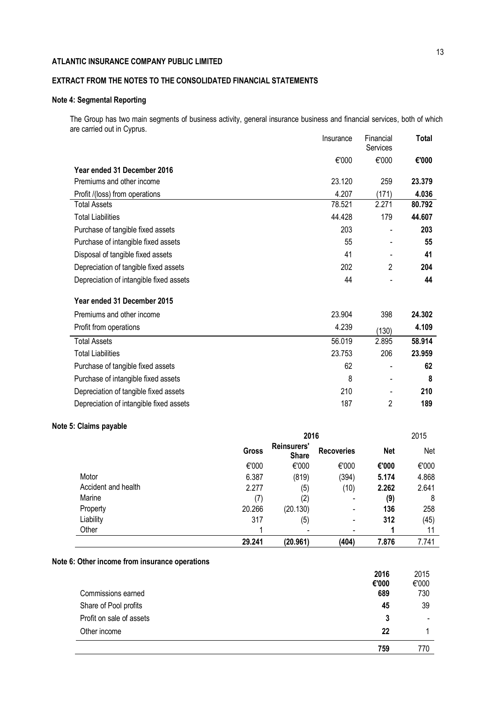# **EXTRACT FROM THE NOTES TO THE CONSOLIDATED FINANCIAL STATEMENTS**

# **Note 4: Segmental Reporting**

The Group has two main segments of business activity, general insurance business and financial services, both of which are carried out in Cyprus. Insurance Financial **Total**

|                                         | <b>Insurance</b> | <b>Financial</b><br>Services | Total  |
|-----------------------------------------|------------------|------------------------------|--------|
|                                         | €'000            | €'000                        | €'000  |
| Year ended 31 December 2016             |                  |                              |        |
| Premiums and other income               | 23.120           | 259                          | 23.379 |
| Profit /(loss) from operations          | 4.207            | (171)                        | 4.036  |
| <b>Total Assets</b>                     | 78.521           | 2.271                        | 80.792 |
| <b>Total Liabilities</b>                | 44.428           | 179                          | 44.607 |
| Purchase of tangible fixed assets       | 203              |                              | 203    |
| Purchase of intangible fixed assets     | 55               |                              | 55     |
| Disposal of tangible fixed assets       | 41               |                              | 41     |
| Depreciation of tangible fixed assets   | 202              | 2                            | 204    |
| Depreciation of intangible fixed assets | 44               |                              | 44     |
| Year ended 31 December 2015             |                  |                              |        |
| Premiums and other income               | 23.904           | 398                          | 24.302 |
| Profit from operations                  | 4.239            | (130)                        | 4.109  |
| <b>Total Assets</b>                     | 56.019           | 2.895                        | 58.914 |
| <b>Total Liabilities</b>                | 23.753           | 206                          | 23.959 |
| Purchase of tangible fixed assets       | 62               |                              | 62     |
| Purchase of intangible fixed assets     | 8                |                              | 8      |
| Depreciation of tangible fixed assets   | 210              |                              | 210    |
| Depreciation of intangible fixed assets | 187              | 2                            | 189    |

# **Note 5: Claims payable**

|                     | 2016   |                             |                          |            | 2015  |
|---------------------|--------|-----------------------------|--------------------------|------------|-------|
|                     | Gross  | Reinsurers'<br><b>Share</b> | <b>Recoveries</b>        | <b>Net</b> | Net   |
|                     | €'000  | €'000                       | €'000                    | €'000      | €'000 |
| Motor               | 6.387  | (819)                       | (394)                    | 5.174      | 4.868 |
| Accident and health | 2.277  | (5)                         | (10)                     | 2.262      | 2.641 |
| Marine              | (7)    | (2)                         |                          | (9)        | 8     |
| Property            | 20.266 | (20.130)                    | -                        | 136        | 258   |
| Liability           | 317    | (5)                         | $\overline{\phantom{0}}$ | 312        | (45)  |
| Other               |        |                             |                          |            | 11    |
|                     | 29.241 | (20.961)                    | (404)                    | 7.876      | 7.741 |

# **Note 6: Other income from insurance operations**

|                          | 2016<br>€'000 | 2015<br>€'000 |
|--------------------------|---------------|---------------|
| Commissions earned       | 689           | 730           |
| Share of Pool profits    | 45            | 39            |
| Profit on sale of assets | 3             | $\,$          |
| Other income             | 22            |               |
|                          | 759           | 770           |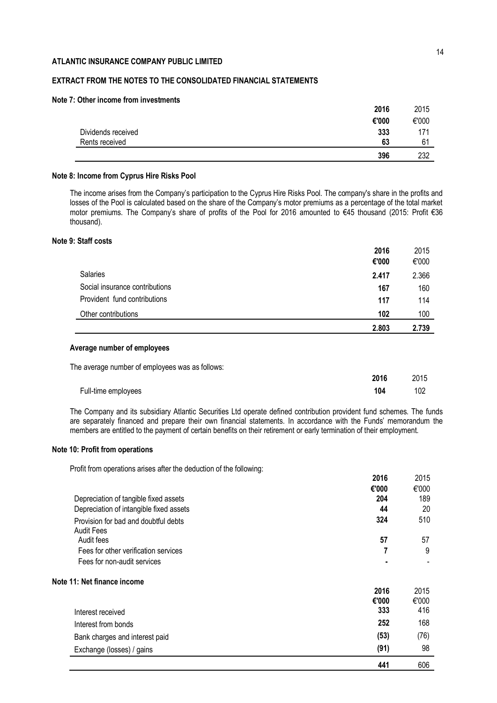# **EXTRACT FROM THE NOTES TO THE CONSOLIDATED FINANCIAL STATEMENTS**

### **Note 7: Other income from investments**

|                    | 2016  | 2015  |
|--------------------|-------|-------|
|                    | €'000 | €'000 |
| Dividends received | 333   | 171   |
| Rents received     | 63    | 61    |
|                    | 396   | 232   |

### **Note 8: Income from Cyprus Hire Risks Pool**

The income arises from the Company's participation to the Cyprus Hire Risks Pool. The company's share in the profits and losses of the Pool is calculated based on the share of the Company's motor premiums as a percentage of the total market motor premiums. Τhe Company's share of profits οf the Pool for 2016 amounted to €45 thousand (2015: Profit €36 thousand).

### **Note 9: Staff costs**

|                                | 2016  | 2015  |
|--------------------------------|-------|-------|
|                                | €'000 | €'000 |
| Salaries                       | 2.417 | 2.366 |
| Social insurance contributions | 167   | 160   |
| Provident fund contributions   | 117   | 114   |
| Other contributions            | 102   | 100   |
|                                | 2.803 | 2.739 |

### **Average number of employees**

| The average number of employees was as follows: |      |      |
|-------------------------------------------------|------|------|
|                                                 | 2016 | 2015 |
| Full-time employees                             | 104  | 102  |

The Company and its subsidiary Atlantic Securities Ltd operate defined contribution provident fund schemes. The funds are separately financed and prepare their own financial statements. In accordance with the Funds' memorandum the members are entitled to the payment of certain benefits on their retirement or early termination of their employment.

### **Note 10: Profit from operations**

Profit from operations arises after the deduction of the following:

|                                         | ZV I V | 20 I J |
|-----------------------------------------|--------|--------|
|                                         | €'000  | €'000  |
| Depreciation of tangible fixed assets   | 204    | 189    |
| Depreciation of intangible fixed assets | 44     | 20     |
| Provision for bad and doubtful debts    | 324    | 510    |
| <b>Audit Fees</b>                       |        |        |
| Audit fees                              | 57     | 57     |
| Fees for other verification services    |        | 9      |
| Fees for non-audit services             |        |        |
| Note 11: Net finance income             |        |        |
|                                         | 2016   | 2015   |
|                                         | €'000  | €'000  |
| Interest received                       | 333    | 416    |
| Interest from bonds                     | 252    | 168    |
| Bank charges and interest paid          | (53)   | (76)   |
| Exchange (losses) / gains               | (91)   | 98     |
|                                         | 441    | 606    |

**2016** 2015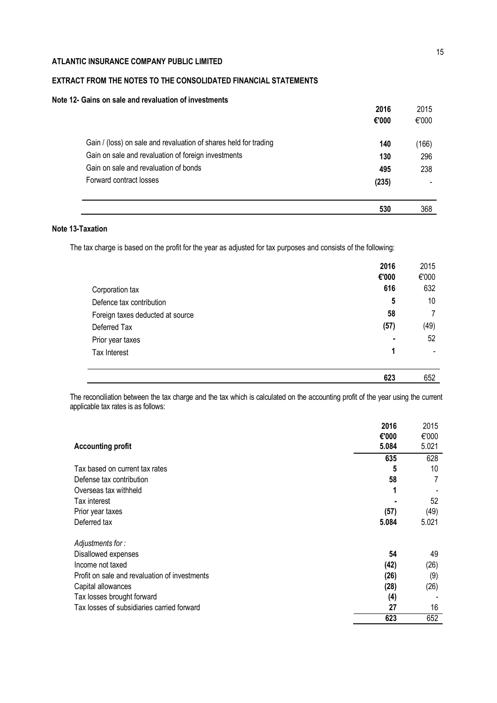# **EXTRACT FROM THE NOTES TO THE CONSOLIDATED FINANCIAL STATEMENTS**

# **Note 12- Gains on sale and revaluation of investments**

|                                                                  | 2016  | 2015  |
|------------------------------------------------------------------|-------|-------|
|                                                                  | €'000 | €'000 |
| Gain / (loss) on sale and revaluation of shares held for trading | 140   | (166) |
| Gain on sale and revaluation of foreign investments              | 130   | 296   |
| Gain on sale and revaluation of bonds                            | 495   | 238   |
| Forward contract losses                                          | (235) |       |
|                                                                  | 530   | 368   |

# **Note 13-Taxation**

The tax charge is based on the profit for the year as adjusted for tax purposes and consists of the following:

|                                  | 2016  | 2015  |
|----------------------------------|-------|-------|
|                                  | €'000 | €'000 |
| Corporation tax                  | 616   | 632   |
| Defence tax contribution         | 5     | 10    |
| Foreign taxes deducted at source | 58    | 7     |
| Deferred Tax                     | (57)  | (49)  |
| Prior year taxes                 | ٠     | 52    |
| Tax Interest                     | 1     |       |
|                                  |       |       |
|                                  | 623   | 652   |

The reconciliation between the tax charge and the tax which is calculated on the accounting profit of the year using the current applicable tax rates is as follows:

| <b>Accounting profit</b>                      | 2016<br>€'000<br>5.084 | 2015<br>€'000<br>5.021 |
|-----------------------------------------------|------------------------|------------------------|
|                                               | 635                    | 628                    |
| Tax based on current tax rates                | 5                      | 10                     |
| Defense tax contribution                      | 58                     |                        |
| Overseas tax withheld                         | 1                      |                        |
| Tax interest                                  |                        | 52                     |
| Prior year taxes                              | (57)                   | (49)                   |
| Deferred tax                                  | 5.084                  | 5.021                  |
| Adjustments for:                              |                        |                        |
| Disallowed expenses                           | 54                     | 49                     |
| Income not taxed                              | (42)                   | (26)                   |
| Profit on sale and revaluation of investments | (26)                   | (9)                    |
| Capital allowances                            | (28)                   | (26)                   |
| Tax losses brought forward                    | (4)                    |                        |
| Tax losses of subsidiaries carried forward    | 27                     | 16                     |
|                                               | 623                    | 652                    |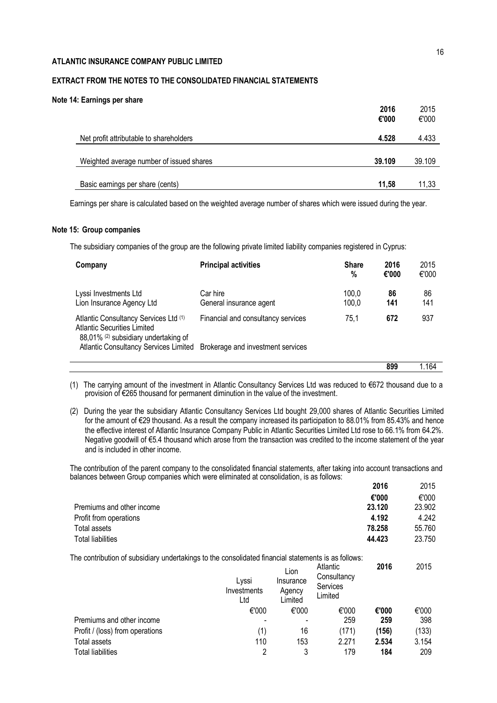# **EXTRACT FROM THE NOTES TO THE CONSOLIDATED FINANCIAL STATEMENTS**

### **Note 14: Earnings per share**

|                                          | 2016<br>€'000 | 2015<br>€'000 |
|------------------------------------------|---------------|---------------|
| Net profit attributable to shareholders  | 4.528         | 4.433         |
| Weighted average number of issued shares | 39.109        | 39.109        |
| Basic earnings per share (cents)         | 11.58         | 11,33         |

Earnings per share is calculated based on the weighted average number of shares which were issued during the year.

### **Note 15: Group companies**

The subsidiary companies of the group are the following private limited liability companies registered in Cyprus:

| Company                                                                                                             | <b>Principal activities</b>         | <b>Share</b><br>% | 2016<br>€'000 | 2015<br>€'000 |
|---------------------------------------------------------------------------------------------------------------------|-------------------------------------|-------------------|---------------|---------------|
| Lyssi Investments Ltd<br>Lion Insurance Agency Ltd                                                                  | Car hire<br>General insurance agent | 100,0<br>100,0    | 86<br>141     | 86<br>141     |
| Atlantic Consultancy Services Ltd (1)<br><b>Atlantic Securities Limited</b><br>88,01% (2) subsidiary undertaking of | Financial and consultancy services  | 75.1              | 672           | 937           |
| Atlantic Consultancy Services Limited Brokerage and investment services                                             |                                     |                   |               |               |
|                                                                                                                     |                                     |                   | 899           | 1.164         |

(1) The carrying amount of the investment in Atlantic Consultancy Services Ltd was reduced to €672 thousand due to a provision of €265 thousand for permanent diminution in the value of the investment.

(2) During the year the subsidiary Atlantic Consultancy Services Ltd bought 29,000 shares of Atlantic Securities Limited for the amount of €29 thousand. As a result the company increased its participation to 88.01% from 85.43% and hence the effective interest of Atlantic Insurance Company Public in Atlantic Securities Limited Ltd rose to 66.1% from 64.2%. Negative goodwill of €5.4 thousand which arose from the transaction was credited to the income statement of the year and is included in other income.

The contribution of the parent company to the consolidated financial statements, after taking into account transactions and balances between Group companies which were eliminated at consolidation, is as follows:

|                                                                                                     |                             |                                        |                                                | 2016   | 2015   |
|-----------------------------------------------------------------------------------------------------|-----------------------------|----------------------------------------|------------------------------------------------|--------|--------|
|                                                                                                     |                             |                                        |                                                | €'000  | €'000  |
| Premiums and other income                                                                           |                             |                                        |                                                | 23.120 | 23.902 |
| Profit from operations                                                                              |                             |                                        |                                                | 4.192  | 4.242  |
| Total assets                                                                                        |                             |                                        |                                                | 78.258 | 55.760 |
| <b>Total liabilities</b>                                                                            |                             |                                        |                                                | 44.423 | 23.750 |
| The contribution of subsidiary undertakings to the consolidated financial statements is as follows: |                             |                                        |                                                |        |        |
|                                                                                                     | Lyssi<br>Investments<br>Ltd | Lion<br>Insurance<br>Agency<br>Limited | Atlantic<br>Consultancy<br>Services<br>Limited | 2016   | 2015   |
|                                                                                                     | €'000                       | €'000                                  | €'000                                          | €'000  | €'000  |
| Premiums and other income                                                                           |                             |                                        | 259                                            | 259    | 398    |
| Profit / (loss) from operations                                                                     | (1)                         | 16                                     | (171)                                          | (156)  | (133)  |
| Total assets                                                                                        | 110                         | 153                                    | 2.271                                          | 2.534  | 3.154  |
| <b>Total liabilities</b>                                                                            | 2                           | 3                                      | 179                                            | 184    | 209    |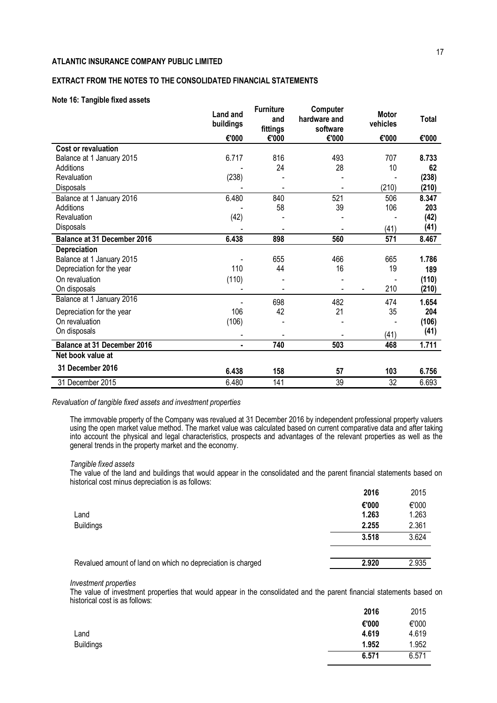# **EXTRACT FROM THE NOTES TO THE CONSOLIDATED FINANCIAL STATEMENTS**

### **Note 16: Tangible fixed assets**

|                                    | <b>Land and</b><br>buildings | <b>Furniture</b><br>and<br>fittings | Computer<br>hardware and<br>software | <b>Motor</b><br>vehicles | Total |
|------------------------------------|------------------------------|-------------------------------------|--------------------------------------|--------------------------|-------|
|                                    | €'000                        | €'000                               | €'000                                | €'000                    | €'000 |
| <b>Cost or revaluation</b>         |                              |                                     |                                      |                          |       |
| Balance at 1 January 2015          | 6.717                        | 816                                 | 493                                  | 707                      | 8.733 |
| Additions                          |                              | 24                                  | 28                                   | 10                       | 62    |
| Revaluation                        | (238)                        |                                     |                                      |                          | (238) |
| Disposals                          |                              |                                     |                                      | (210)                    | (210) |
| Balance at 1 January 2016          | 6.480                        | 840                                 | 521                                  | 506                      | 8.347 |
| Additions                          |                              | 58                                  | 39                                   | 106                      | 203   |
| Revaluation                        | (42)                         |                                     |                                      |                          | (42)  |
| Disposals                          |                              |                                     |                                      | (41)                     | (41)  |
| <b>Balance at 31 December 2016</b> | 6.438                        | 898                                 | 560                                  | 571                      | 8.467 |
| Depreciation                       |                              |                                     |                                      |                          |       |
| Balance at 1 January 2015          |                              | 655                                 | 466                                  | 665                      | 1.786 |
| Depreciation for the year          | 110                          | 44                                  | 16                                   | 19                       | 189   |
| On revaluation                     | (110)                        |                                     |                                      |                          | (110) |
| On disposals                       |                              |                                     |                                      | 210<br>$\blacksquare$    | (210) |
| Balance at 1 January 2016          |                              | 698                                 | 482                                  | 474                      | 1.654 |
| Depreciation for the year          | 106                          | 42                                  | 21                                   | 35                       | 204   |
| On revaluation                     | (106)                        |                                     |                                      |                          | (106) |
| On disposals                       |                              |                                     |                                      | (41)                     | (41)  |
| <b>Balance at 31 December 2016</b> | $\blacksquare$               | 740                                 | 503                                  | 468                      | 1.711 |
| Net book value at                  |                              |                                     |                                      |                          |       |
| 31 December 2016                   | 6.438                        | 158                                 | 57                                   | 103                      | 6.756 |
| 31 December 2015                   | 6.480                        | 141                                 | 39                                   | 32                       | 6.693 |

### *Revaluation of tangible fixed assets and investment properties*

The immovable property of the Company was revalued at 31 December 2016 by independent professional property valuers using the open market value method. The market value was calculated based on current comparative data and after taking into account the physical and legal characteristics, prospects and advantages of the relevant properties as well as the general trends in the property market and the economy.

#### *Tangible fixed assets*

The value of the land and buildings that would appear in the consolidated and the parent financial statements based on historical cost minus depreciation is as follows:

|                                                             | 2016  | 2015  |
|-------------------------------------------------------------|-------|-------|
|                                                             | €'000 | €'000 |
| Land                                                        | 1.263 | 1.263 |
| <b>Buildings</b>                                            | 2.255 | 2.361 |
|                                                             | 3.518 | 3.624 |
|                                                             |       |       |
| Revalued amount of land on which no depreciation is charged | 2.920 | 2.935 |

#### *Investment properties*

The value of investment properties that would appear in the consolidated and the parent financial statements based on historical cost is as follows:

|                  | 2016  | 2015  |
|------------------|-------|-------|
|                  | €'000 | €'000 |
| Land             | 4.619 | 4.619 |
| <b>Buildings</b> | 1.952 | 1.952 |
|                  | 6.571 | 6.571 |
|                  |       |       |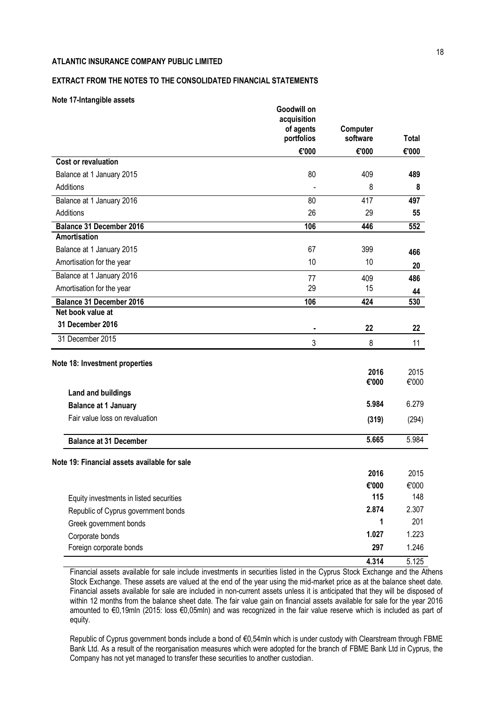# **EXTRACT FROM THE NOTES TO THE CONSOLIDATED FINANCIAL STATEMENTS**

### **Note 17-Intangible assets**

|                                              | Goodwill on<br>acquisition<br>of agents<br>portfolios | Computer<br>software | <b>Total</b> |
|----------------------------------------------|-------------------------------------------------------|----------------------|--------------|
|                                              | €'000                                                 | €'000                | €'000        |
| <b>Cost or revaluation</b>                   |                                                       |                      |              |
| Balance at 1 January 2015                    | 80                                                    | 409                  | 489          |
| Additions                                    |                                                       | 8                    | 8            |
| Balance at 1 January 2016                    | 80                                                    | 417                  | 497          |
| Additions                                    | 26                                                    | 29                   | 55           |
| <b>Balance 31 December 2016</b>              | 106                                                   | 446                  | 552          |
| <b>Amortisation</b>                          |                                                       |                      |              |
| Balance at 1 January 2015                    | 67                                                    | 399                  | 466          |
| Amortisation for the year                    | 10                                                    | 10                   | 20           |
| Balance at 1 January 2016                    | 77                                                    | 409                  | 486          |
| Amortisation for the year                    | 29                                                    | 15                   | 44           |
| <b>Balance 31 December 2016</b>              | 106                                                   | 424                  | 530          |
| Net book value at                            |                                                       |                      |              |
| 31 December 2016                             | $\blacksquare$                                        | 22                   | 22           |
| 31 December 2015                             | 3                                                     | 8                    | 11           |
| Note 18: Investment properties               |                                                       |                      |              |
|                                              |                                                       | 2016                 | 2015         |
| Land and buildings                           |                                                       | €'000                | €'000        |
| <b>Balance at 1 January</b>                  |                                                       | 5.984                | 6.279        |
| Fair value loss on revaluation               |                                                       |                      |              |
|                                              |                                                       | (319)                | (294)        |
| <b>Balance at 31 December</b>                |                                                       | 5.665                | 5.984        |
| Note 19: Financial assets available for sale |                                                       |                      |              |
|                                              |                                                       | 2016                 | 2015         |
|                                              |                                                       | €'000                | €'000        |
| Equity investments in listed securities      |                                                       | 115                  | 148          |
| Republic of Cyprus government bonds          |                                                       | 2.874                | 2.307        |
| Greek government bonds                       |                                                       | 1                    | 201          |
| Corporate bonds                              |                                                       | 1.027                | 1.223        |
| Foreign corporate bonds                      |                                                       | 297                  | 1.246        |
|                                              |                                                       | 4.314                | 5.125        |

Financial assets available for sale include investments in securities listed in the Cyprus Stock Exchange and the Athens Stock Exchange. These assets are valued at the end of the year using the mid-market price as at the balance sheet date. Financial assets available for sale are included in non-current assets unless it is anticipated that they will be disposed of within 12 months from the balance sheet date. The fair value gain on financial assets available for sale for the year 2016 amounted to €0,19mln (2015: loss €0,05mln) and was recognized in the fair value reserve which is included as part of equity.

Republic of Cyprus government bonds include a bond of €0,54mln which is under custody with Clearstream through FBME Bank Ltd. As a result of the reorganisation measures which were adopted for the branch of FBME Bank Ltd in Cyprus, the Company has not yet managed to transfer these securities to another custodian.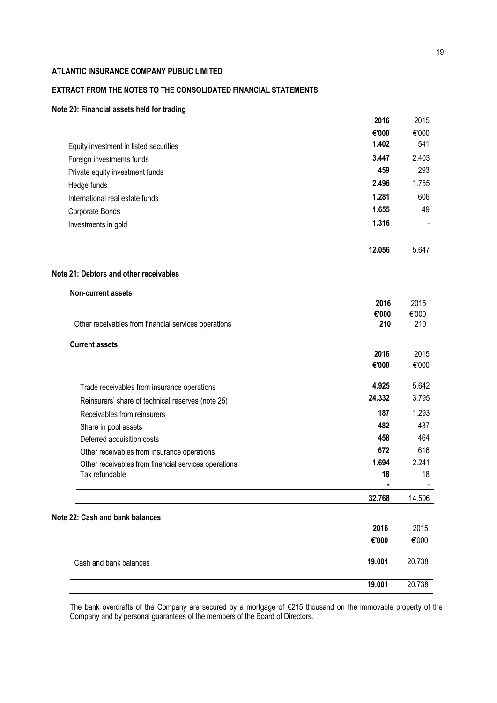# **EXTRACT FROM THE NOTES TO THE CONSOLIDATED FINANCIAL STATEMENTS**

# **Note 20: Financial assets held for trading**

|                                                      | 2016          | 2015          |
|------------------------------------------------------|---------------|---------------|
|                                                      | €'000         | €'000         |
| Equity investment in listed securities               | 1.402         | 541           |
| Foreign investments funds                            | 3.447         | 2.403         |
| Private equity investment funds                      | 459           | 293           |
| Hedge funds                                          | 2.496         | 1.755         |
| International real estate funds                      | 1.281         | 606           |
| Corporate Bonds                                      | 1.655         | 49            |
| Investments in gold                                  | 1.316         |               |
|                                                      | 12.056        | 5.647         |
| Note 21: Debtors and other receivables               |               |               |
| Non-current assets                                   |               |               |
|                                                      | 2016<br>€'000 | 2015<br>€'000 |
| Other receivables from financial services operations | 210           | 210           |
| <b>Current assets</b>                                |               |               |
|                                                      | 2016<br>€'000 | 2015<br>€'000 |
| Trade receivables from insurance operations          | 4.925         | 5.642         |
| Reinsurers' share of technical reserves (note 25)    | 24.332        | 3.795         |
| Receivables from reinsurers                          | 187           | 1.293         |
| Share in pool assets                                 | 482           | 437           |
| Deferred acquisition costs                           | 458           | 464           |
| Other receivables from insurance operations          | 672           | 616           |
| Other receivables from financial services operations | 1.694         | 2.241         |
| Tax refundable                                       | 18            | 18            |
|                                                      | 32.768        | 14.506        |
| Note 22: Cash and bank balances                      |               |               |
|                                                      | 2016          | 2015          |
|                                                      | €'000         | €'000         |
| Cash and bank balances                               | 19.001        | 20.738        |
|                                                      | 19.001        | 20.738        |

The bank overdrafts of the Company are secured by a mortgage of €215 thousand on the immovable property of the Company and by personal guarantees of the members of the Board of Directors.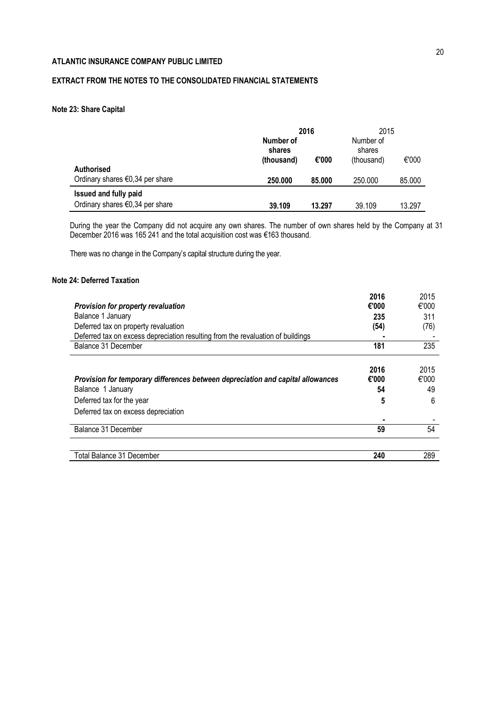# **EXTRACT FROM THE NOTES TO THE CONSOLIDATED FINANCIAL STATEMENTS**

# **Note 23: Share Capital**

|                                                                    |                                   | 2016                              |         |        |
|--------------------------------------------------------------------|-----------------------------------|-----------------------------------|---------|--------|
|                                                                    | Number of<br>shares<br>(thousand) | Number of<br>shares<br>(thousand) | €'000   |        |
| <b>Authorised</b><br>Ordinary shares $\epsilon$ 0,34 per share     | 250,000                           | 85,000                            | 250.000 | 85.000 |
| Issued and fully paid<br>Ordinary shares $\epsilon$ 0,34 per share | 39.109                            | 13.297                            | 39.109  | 13.297 |

During the year the Company did not acquire any own shares. The number of own shares held by the Company at 31 December 2016 was 165 241 and the total acquisition cost was €163 thousand.

There was no change in the Company's capital structure during the year.

# **Note 24: Deferred Taxation**

|                                                                                 | 2016  | 2015  |
|---------------------------------------------------------------------------------|-------|-------|
| <b>Provision for property revaluation</b>                                       | €'000 | €'000 |
| Balance 1 January                                                               | 235   | 311   |
| Deferred tax on property revaluation                                            | (54)  | (76)  |
| Deferred tax on excess depreciation resulting from the revaluation of buildings |       |       |
| Balance 31 December                                                             | 181   | 235   |
|                                                                                 |       |       |
|                                                                                 | 2016  | 2015  |
| Provision for temporary differences between depreciation and capital allowances | €'000 | €'000 |
| Balance 1 January                                                               | 54    | 49    |
| Deferred tax for the year                                                       | 5     | 6     |
| Deferred tax on excess depreciation                                             |       |       |
|                                                                                 | ۰     |       |
| Balance 31 December                                                             | 59    | 54    |
|                                                                                 |       |       |
| Total Balance 31 December                                                       | 240   | 289   |
|                                                                                 |       |       |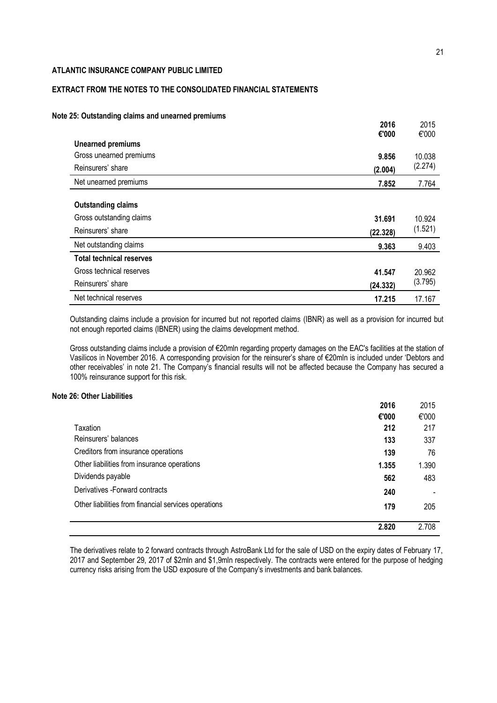# **EXTRACT FROM THE NOTES TO THE CONSOLIDATED FINANCIAL STATEMENTS**

# **Note 25: Outstanding claims and unearned premiums**

| <b>This is in this common will allow the profillents</b>                   | 2016               | 2015              |
|----------------------------------------------------------------------------|--------------------|-------------------|
| <b>Unearned premiums</b>                                                   | €'000              | €'000             |
| Gross unearned premiums                                                    | 9.856              | 10.038            |
| Reinsurers' share                                                          | (2.004)            | (2.274)           |
| Net unearned premiums                                                      | 7.852              | 7.764             |
| <b>Outstanding claims</b><br>Gross outstanding claims<br>Reinsurers' share | 31.691<br>(22.328) | 10.924<br>(1.521) |
| Net outstanding claims                                                     | 9.363              | 9.403             |
| <b>Total technical reserves</b>                                            |                    |                   |
| Gross technical reserves                                                   | 41.547             | 20.962            |
| Reinsurers' share                                                          | (24.332)           | (3.795)           |
| Net technical reserves                                                     | 17.215             | 17.167            |

Outstanding claims include a provision for incurred but not reported claims (IBNR) as well as a provision for incurred but not enough reported claims (IBNER) using the claims development method.

Gross outstanding claims include a provision of €20mln regarding property damages on the EAC's facilities at the station of Vasilicos in November 2016. A corresponding provision for the reinsurer's share of €20mln is included under 'Debtors and other receivables' in note 21. The Company's financial results will not be affected because the Company has secured a 100% reinsurance support for this risk.

### **Note 26: Other Liabilities**

| 2016                                                        | 2015  |
|-------------------------------------------------------------|-------|
| €'000                                                       | €'000 |
| 212<br>Taxation                                             | 217   |
| Reinsurers' balances<br>133                                 | 337   |
| Creditors from insurance operations<br>139                  | 76    |
| Other liabilities from insurance operations<br>1.355        | 1.390 |
| Dividends payable<br>562                                    | 483   |
| Derivatives - Forward contracts<br>240                      |       |
| Other liabilities from financial services operations<br>179 | 205   |
|                                                             |       |
| 2.820                                                       | 2.708 |

The derivatives relate to 2 forward contracts through AstroBank Ltd for the sale of USD on the expiry dates of February 17, 2017 and September 29, 2017 of \$2mln and \$1,9mln respectively. The contracts were entered for the purpose of hedging currency risks arising from the USD exposure of the Company's investments and bank balances.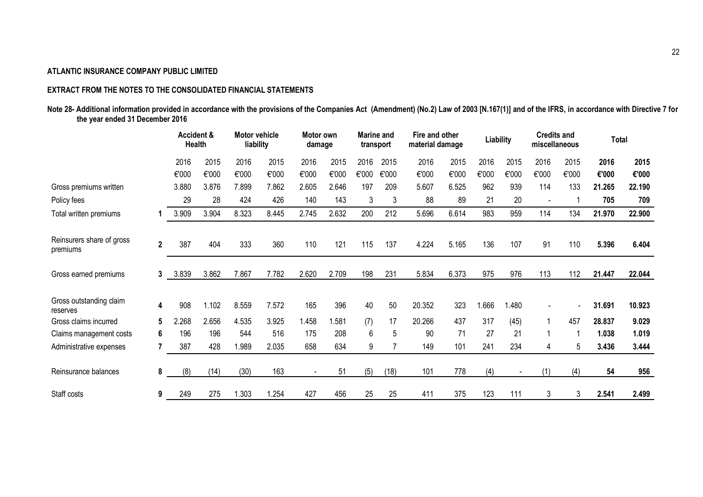# **EXTRACT FROM THE NOTES TO THE CONSOLIDATED FINANCIAL STATEMENTS**

Note 28- Additional information provided in accordance with the provisions of the Companies Act (Amendment) (No.2) Law of 2003 [N.167(1)] and of the IFRS, in accordance with Directive 7 for **the year ended 31 December 2016**

|                                       |              | <b>Accident &amp;</b> | <b>Health</b> | Motor vehicle<br>liability |       | Motor own<br>damage |       | <b>Marine</b> and<br>transport |       | Fire and other<br>material damage |       |       | Liability | <b>Credits and</b><br>miscellaneous |                |        | <b>Total</b> |  |
|---------------------------------------|--------------|-----------------------|---------------|----------------------------|-------|---------------------|-------|--------------------------------|-------|-----------------------------------|-------|-------|-----------|-------------------------------------|----------------|--------|--------------|--|
|                                       |              | 2016                  | 2015          | 2016                       | 2015  | 2016                | 2015  | 2016                           | 2015  | 2016                              | 2015  | 2016  | 2015      | 2016                                | 2015           | 2016   | 2015         |  |
|                                       |              | €'000                 | €'000         | €'000                      | €'000 | €'000               | €'000 | €'000                          | €'000 | €'000                             | €'000 | €'000 | €'000     | €'000                               | €'000          | €'000  | €'000        |  |
| Gross premiums written                |              | 3.880                 | 3.876         | 7.899                      | 7.862 | 2.605               | 2.646 | 197                            | 209   | 5.607                             | 6.525 | 962   | 939       | 114                                 | 133            | 21.265 | 22.190       |  |
| Policy fees                           |              | 29                    | 28            | 424                        | 426   | 140                 | 143   | 3                              | 3     | 88                                | 89    | 21    | 20        | $\overline{\phantom{a}}$            |                | 705    | 709          |  |
| Total written premiums                |              | 3.909                 | 3.904         | 8.323                      | 8.445 | 2.745               | 2.632 | 200                            | 212   | 5.696                             | 6.614 | 983   | 959       | 114                                 | 134            | 21.970 | 22.900       |  |
| Reinsurers share of gross<br>premiums | $\mathbf{2}$ | 387                   | 404           | 333                        | 360   | 110                 | 121   | 115                            | 137   | 4.224                             | 5.165 | 136   | 107       | 91                                  | 110            | 5.396  | 6.404        |  |
| Gross earned premiums                 | 3            | 3.839                 | 3.862         | 7.867                      | 7.782 | 2.620               | 2.709 | 198                            | 231   | 5.834                             | 6.373 | 975   | 976       | 113                                 | 112            | 21.447 | 22.044       |  |
| Gross outstanding claim<br>reserves   | 4            | 908                   | 1.102         | 8.559                      | 7.572 | 165                 | 396   | 40                             | 50    | 20.352                            | 323   | 1.666 | 1.480     |                                     | $\blacksquare$ | 31.691 | 10.923       |  |
| Gross claims incurred                 | 5            | 2.268                 | 2.656         | 4.535                      | 3.925 | 1.458               | 1.581 | (7)                            | 17    | 20.266                            | 437   | 317   | (45)      |                                     | 457            | 28.837 | 9.029        |  |
| Claims management costs               | 6            | 196                   | 196           | 544                        | 516   | 175                 | 208   | 6                              | 5     | 90                                | 71    | 27    | 21        |                                     |                | 1.038  | 1.019        |  |
| Administrative expenses               | 7            | 387                   | 428           | 1.989                      | 2.035 | 658                 | 634   | 9                              |       | 149                               | 101   | 241   | 234       | 4                                   | 5              | 3.436  | 3.444        |  |
| Reinsurance balances                  | 8            | (8)                   | (14)          | (30)                       | 163   |                     | 51    | (5)                            | (18)  | 101                               | 778   | (4)   |           | (1)                                 | (4)            | 54     | 956          |  |
| Staff costs                           | 9            | 249                   | 275           | 1.303                      | 1.254 | 427                 | 456   | 25                             | 25    | 411                               | 375   | 123   | 111       | 3                                   | 3              | 2.541  | 2.499        |  |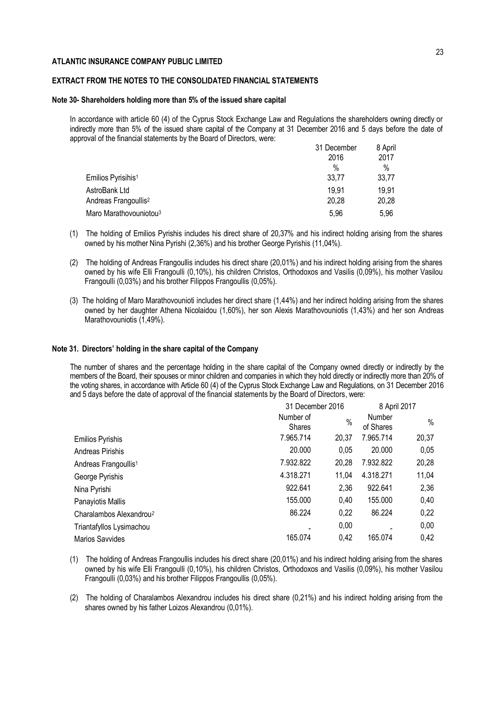### **EXTRACT FROM THE NOTES TO THE CONSOLIDATED FINANCIAL STATEMENTS**

#### **Note 30- Shareholders holding more than 5% of the issued share capital**

In accordance with article 60 (4) of the Cyprus Stock Exchange Law and Regulations the shareholders owning directly or indirectly more than 5% of the issued share capital of the Company at 31 December 2016 and 5 days before the date of approval of the financial statements by the Board of Directors, were:

|                                    | 31 December | 8 April |
|------------------------------------|-------------|---------|
|                                    | 2016        | 2017    |
|                                    | $\%$        | $\%$    |
| Emilios Pyrisihis <sup>1</sup>     | 33,77       | 33,77   |
| AstroBank Ltd                      | 19.91       | 19,91   |
| Andreas Frangoullis <sup>2</sup>   | 20,28       | 20,28   |
| Maro Marathovouniotou <sup>3</sup> | 5,96        | 5,96    |

- (1) The holding of Emilios Pyrishis includes his direct share of 20,37% and his indirect holding arising from the shares owned by his mother Nina Pyrishi (2,36%) and his brother George Pyrishis (11,04%).
- (2) The holding of Andreas Frangoullis includes his direct share (20,01%) and his indirect holding arising from the shares owned by his wife Elli Frangoulli (0,10%), his children Christos, Orthodoxos and Vasilis (0,09%), his mother Vasilou Frangoulli (0,03%) and his brother Filippos Frangoullis (0,05%).
- (3) The holding of Maro Marathovounioti includes her direct share (1,44%) and her indirect holding arising from the shares owned by her daughter Athena Nicolaidou (1,60%), her son Alexis Marathovouniotis (1,43%) and her son Andreas Marathovouniotis (1,49%).

#### **Note 31. Directors' holding in the share capital of the Company**

The number of shares and the percentage holding in the share capital of the Company owned directly or indirectly by the members of the Board, their spouses or minor children and companies in which they hold directly or indirectly more than 20% of the voting shares, in accordance with Article 60 (4) of the Cyprus Stock Exchange Law and Regulations, on 31 December 2016 and 5 days before the date of approval of the financial statements by the Board of Directors, were:

|                                     | 31 December 2016           |       |                     | 8 April 2017 |  |  |
|-------------------------------------|----------------------------|-------|---------------------|--------------|--|--|
|                                     | Number of<br><b>Shares</b> | $\%$  | Number<br>of Shares | $\%$         |  |  |
| <b>Emilios Pyrishis</b>             | 7.965.714                  | 20,37 | 7.965.714           | 20,37        |  |  |
| Andreas Pirishis                    | 20.000                     | 0.05  | 20.000              | 0,05         |  |  |
| Andreas Frangoullis <sup>1</sup>    | 7.932.822                  | 20,28 | 7.932.822           | 20,28        |  |  |
| George Pyrishis                     | 4.318.271                  | 11,04 | 4.318.271           | 11,04        |  |  |
| Nina Pyrishi                        | 922.641                    | 2,36  | 922.641             | 2,36         |  |  |
| Panayiotis Mallis                   | 155.000                    | 0,40  | 155.000             | 0,40         |  |  |
| Charalambos Alexandrou <sup>2</sup> | 86.224                     | 0,22  | 86.224              | 0,22         |  |  |
| Triantafyllos Lysimachou            |                            | 0,00  |                     | 0,00         |  |  |
| Marios Savvides                     | 165.074                    | 0,42  | 165.074             | 0,42         |  |  |

- (1) The holding of Andreas Frangoullis includes his direct share (20,01%) and his indirect holding arising from the shares owned by his wife Elli Frangoulli (0,10%), his children Christos, Orthodoxos and Vasilis (0,09%), his mother Vasilou Frangoulli (0,03%) and his brother Filippos Frangoullis (0,05%).
- (2) The holding of Charalambos Alexandrou includes his direct share (0,21%) and his indirect holding arising from the shares owned by his father Loizos Alexandrou (0,01%).